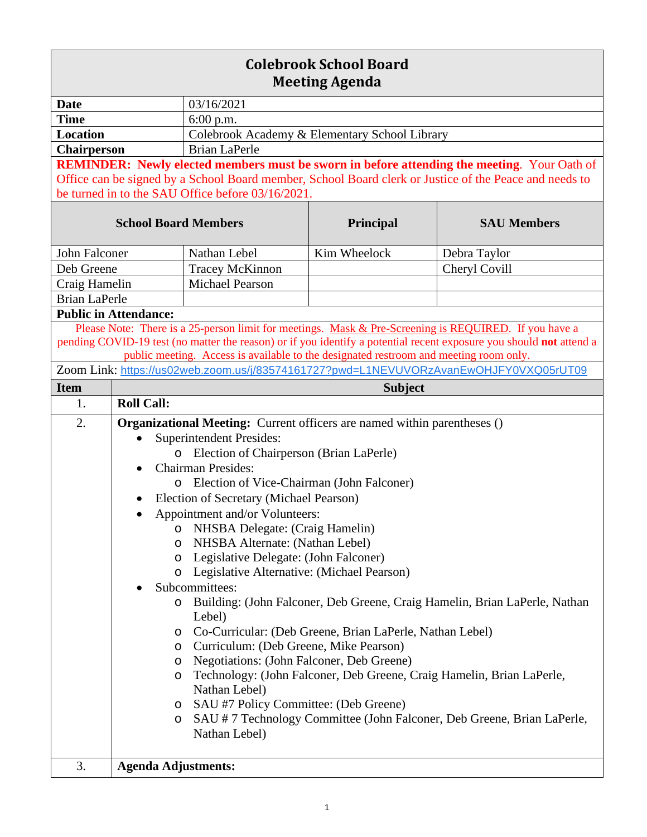| <b>Colebrook School Board</b><br><b>Meeting Agenda</b>                                                                                                                                                                                                                                                                |                                                                                 |                                                                                                    |                                                          |                                                                                                        |  |
|-----------------------------------------------------------------------------------------------------------------------------------------------------------------------------------------------------------------------------------------------------------------------------------------------------------------------|---------------------------------------------------------------------------------|----------------------------------------------------------------------------------------------------|----------------------------------------------------------|--------------------------------------------------------------------------------------------------------|--|
| <b>Date</b>                                                                                                                                                                                                                                                                                                           |                                                                                 | 03/16/2021                                                                                         |                                                          |                                                                                                        |  |
| <b>Time</b>                                                                                                                                                                                                                                                                                                           |                                                                                 | 6:00 p.m.                                                                                          |                                                          |                                                                                                        |  |
| <b>Location</b>                                                                                                                                                                                                                                                                                                       |                                                                                 | Colebrook Academy & Elementary School Library                                                      |                                                          |                                                                                                        |  |
| <b>Chairperson</b>                                                                                                                                                                                                                                                                                                    |                                                                                 | <b>Brian LaPerle</b>                                                                               |                                                          |                                                                                                        |  |
|                                                                                                                                                                                                                                                                                                                       |                                                                                 | <b>REMINDER:</b> Newly elected members must be sworn in before attending the meeting. Your Oath of |                                                          |                                                                                                        |  |
|                                                                                                                                                                                                                                                                                                                       |                                                                                 |                                                                                                    |                                                          | Office can be signed by a School Board member, School Board clerk or Justice of the Peace and needs to |  |
|                                                                                                                                                                                                                                                                                                                       |                                                                                 | be turned in to the SAU Office before 03/16/2021.                                                  |                                                          |                                                                                                        |  |
| <b>School Board Members</b>                                                                                                                                                                                                                                                                                           |                                                                                 |                                                                                                    | Principal                                                | <b>SAU Members</b>                                                                                     |  |
| <b>John Falconer</b>                                                                                                                                                                                                                                                                                                  |                                                                                 | Nathan Lebel                                                                                       | Kim Wheelock                                             | Debra Taylor                                                                                           |  |
| Deb Greene                                                                                                                                                                                                                                                                                                            |                                                                                 | Tracey McKinnon                                                                                    |                                                          | Cheryl Covill                                                                                          |  |
| Craig Hamelin                                                                                                                                                                                                                                                                                                         |                                                                                 | <b>Michael Pearson</b>                                                                             |                                                          |                                                                                                        |  |
| <b>Brian LaPerle</b>                                                                                                                                                                                                                                                                                                  |                                                                                 |                                                                                                    |                                                          |                                                                                                        |  |
|                                                                                                                                                                                                                                                                                                                       | <b>Public in Attendance:</b>                                                    |                                                                                                    |                                                          |                                                                                                        |  |
| Please Note: There is a 25-person limit for meetings. Mask & Pre-Screening is REQUIRED. If you have a<br>pending COVID-19 test (no matter the reason) or if you identify a potential recent exposure you should not attend a<br>public meeting. Access is available to the designated restroom and meeting room only. |                                                                                 |                                                                                                    |                                                          |                                                                                                        |  |
|                                                                                                                                                                                                                                                                                                                       |                                                                                 |                                                                                                    |                                                          | Zoom Link: https://us02web.zoom.us/j/83574161727?pwd=L1NEVUVORzAvanEwOHJFY0VXQ05rUT09                  |  |
| <b>Item</b>                                                                                                                                                                                                                                                                                                           |                                                                                 |                                                                                                    | <b>Subject</b>                                           |                                                                                                        |  |
| 1.                                                                                                                                                                                                                                                                                                                    | <b>Roll Call:</b>                                                               |                                                                                                    |                                                          |                                                                                                        |  |
| 2.                                                                                                                                                                                                                                                                                                                    | <b>Organizational Meeting:</b> Current officers are named within parentheses () |                                                                                                    |                                                          |                                                                                                        |  |
|                                                                                                                                                                                                                                                                                                                       | <b>Superintendent Presides:</b>                                                 |                                                                                                    |                                                          |                                                                                                        |  |
|                                                                                                                                                                                                                                                                                                                       | o Election of Chairperson (Brian LaPerle)                                       |                                                                                                    |                                                          |                                                                                                        |  |
|                                                                                                                                                                                                                                                                                                                       | <b>Chairman Presides:</b>                                                       |                                                                                                    |                                                          |                                                                                                        |  |
|                                                                                                                                                                                                                                                                                                                       | Election of Vice-Chairman (John Falconer)<br>O                                  |                                                                                                    |                                                          |                                                                                                        |  |
|                                                                                                                                                                                                                                                                                                                       | Election of Secretary (Michael Pearson)                                         |                                                                                                    |                                                          |                                                                                                        |  |
|                                                                                                                                                                                                                                                                                                                       | Appointment and/or Volunteers:                                                  |                                                                                                    |                                                          |                                                                                                        |  |
|                                                                                                                                                                                                                                                                                                                       | <b>NHSBA Delegate: (Craig Hamelin)</b><br>O                                     |                                                                                                    |                                                          |                                                                                                        |  |
|                                                                                                                                                                                                                                                                                                                       | NHSBA Alternate: (Nathan Lebel)<br>O                                            |                                                                                                    |                                                          |                                                                                                        |  |
|                                                                                                                                                                                                                                                                                                                       | Legislative Delegate: (John Falconer)<br>O                                      |                                                                                                    |                                                          |                                                                                                        |  |
|                                                                                                                                                                                                                                                                                                                       | O                                                                               | Legislative Alternative: (Michael Pearson)                                                         |                                                          |                                                                                                        |  |
|                                                                                                                                                                                                                                                                                                                       | Subcommittees:                                                                  |                                                                                                    |                                                          |                                                                                                        |  |
|                                                                                                                                                                                                                                                                                                                       | O                                                                               | Lebel)                                                                                             |                                                          | Building: (John Falconer, Deb Greene, Craig Hamelin, Brian LaPerle, Nathan                             |  |
|                                                                                                                                                                                                                                                                                                                       | O                                                                               |                                                                                                    | Co-Curricular: (Deb Greene, Brian LaPerle, Nathan Lebel) |                                                                                                        |  |
|                                                                                                                                                                                                                                                                                                                       | O                                                                               | Curriculum: (Deb Greene, Mike Pearson)                                                             |                                                          |                                                                                                        |  |
|                                                                                                                                                                                                                                                                                                                       | O                                                                               | Negotiations: (John Falconer, Deb Greene)                                                          |                                                          |                                                                                                        |  |
|                                                                                                                                                                                                                                                                                                                       | O                                                                               | Nathan Lebel)                                                                                      |                                                          | Technology: (John Falconer, Deb Greene, Craig Hamelin, Brian LaPerle,                                  |  |
|                                                                                                                                                                                                                                                                                                                       | O                                                                               | SAU #7 Policy Committee: (Deb Greene)                                                              |                                                          |                                                                                                        |  |
|                                                                                                                                                                                                                                                                                                                       | O                                                                               | Nathan Lebel)                                                                                      |                                                          | SAU #7 Technology Committee (John Falconer, Deb Greene, Brian LaPerle,                                 |  |
|                                                                                                                                                                                                                                                                                                                       |                                                                                 |                                                                                                    |                                                          |                                                                                                        |  |
| 3.                                                                                                                                                                                                                                                                                                                    | <b>Agenda Adjustments:</b>                                                      |                                                                                                    |                                                          |                                                                                                        |  |